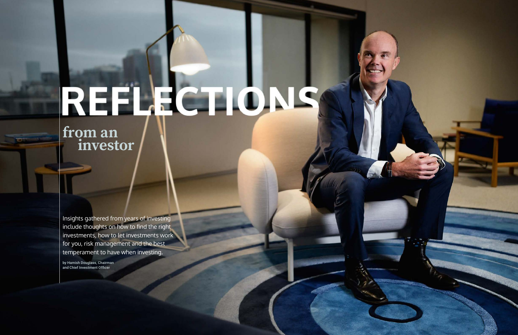Insights gathered from years of investing include thoughts on how to find the right investments, how to let investments work for you, risk management and the best temperament to have when investing.

by Hamish Douglass, Chairman and Chief Investment Officer



# REFLECTIONS

**from an investor**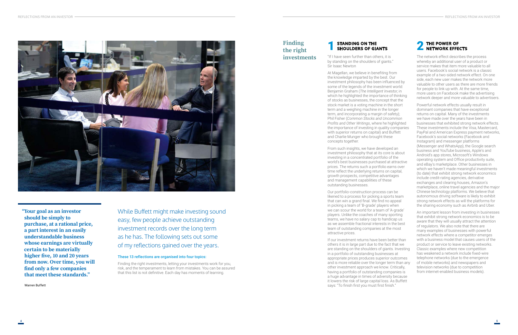

**"Your goal as an investor should be simply to purchase, at a rational price, a part interest in an easily understandable business whose earnings are virtually certain to be materially higher five, 10 and 20 years from now. Over time, you will find only a few companies that meet these standards."**

Warren Buffett

# **STANDING ON THE** SHOULDERS OF GIANTS

While Buffett might make investing sound easy, few people achieve outstanding investment records over the long term as he has. The following sets out some of my reflections gained over the years.

# These 13 reflections are organised into four topics:

Finding the right investments, letting your investments work for you, risk, and the temperament to learn from mistakes. You can be assured that this list is not definitive. Each day has moments of learning.

**5**

"If I have seen further than others, it is by standing on the shoulders of giants." Sir Isaac Newton

At Magellan, we believe in benefiting from the knowledge imparted by the best. Our investment philosophy has been influenced by some of the legends of the investment world: Benjamin Graham (*The Intelligent Investor*, in which he highlighted the importance of thinking of stocks as businesses, the concept that the stock market is a voting machine in the short term and a weighing machine in the longer term, and incorporating a margin of safety); Phil Fisher (*Common Stocks and Uncommon Profits and Other Writings*, where he highlighted the importance of investing in quality companies with superior returns on capital) and Buffett and Charlie Munger who brought these concepts together.

From such insights, we have developed an investment philosophy that at its core is about investing in a concentrated portfolio of the world's best businesses purchased at attractive prices. The returns such a portfolio earns over time reflect the underlying returns on capital, growth prospects, competitive advantages and management capabilities of these outstanding businesses.

Our portfolio-construction process can be likened to a process for picking a sports team that can win a grand final. We find no appeal in picking a team of 'B-grade' players when we can scour the world for a team of 'A-grade' players. Unlike the coaches of many sporting teams, we have no salary cap to handicap us as we assemble fractional interests in the best team of outstanding companies at the most attractive prices.

If our investment returns have been better than others it is in large part due to the fact that we are standing on the shoulders of giants. Investing in a portfolio of outstanding businesses at appropriate prices produces superior outcomes and is more reliable over the longer term than any other investment approach we know. Critically, having a portfolio of outstanding companies is a huge advantage in times of adversity because it lowers the risk of large capital loss. As Buffett says: "To finish first you must first finish."

# **THE POWER OF NETWORK EFFECTS**

The network effect describes the process whereby an additional user of a product or service makes that item more valuable to all users. Facebook's social network is a classic example of a two-sided network effect. On one side, each new user makes the network more valuable to other users as there are more friends for people to link up with. At the same time, more users on Facebook make the advertising network deeper and more valuable to advertisers.

Powerful network effects usually result in dominant companies that have exceptional returns on capital. Many of the investments we have made over the years have been in businesses that exhibited strong network effects. These investments include the Visa, Mastercard, PayPal and American Express payment networks, Facebook's social networks (Facebook and Instagram) and messenger platforms (Messenger and WhatsApp), the Google search business and YouTube business, Apple's and Android's app stores, Microsoft's Windows operating system and Office productivity suite, and eBay's marketplace. Other businesses in which we haven't made meaningful investments (to date) that exhibit strong network economics include credit-rating agencies, derivative exchanges and clearing houses, Amazon's marketplace, online travel agencies and the major Chinese technology platforms. We believe that autonomous driving software is likely to exhibit strong network effects as will the platforms for the sharing economy such as Airbnb and Uber.

An important lesson from investing in businesses that exhibit strong network economics is to be aware that they will usually attract the attention of regulators. We also note that there are many examples of businesses with powerful network effects where a competitor emerges with a business model that causes users of the product or service to leave existing networks. Classic examples where new competition has weakened a network include fixed-wire telephone networks (due to the emergence of mobile networks) and newspapers and television networks (due to competition from internet-enabled business models).

# **Finding the right investments**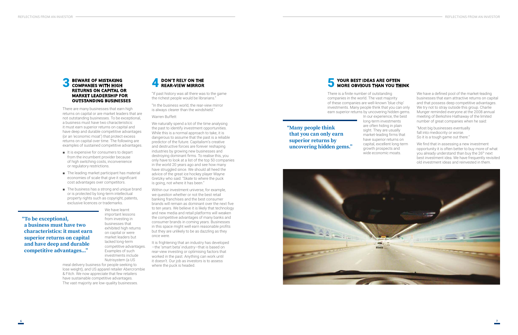**"To be exceptional, a business must have two characteristics: it must earn superior returns on capital and have deep and durable competitive advantages..."**

# **BEWARE OF MISTAKING COMPANIES WITH HIGH AND REAR-VIEW MIRROR RETURNS ON CAPITAL OR MARKET LEADERSHIP FOR OUTSTANDING BUSINESSES**

There are many businesses that earn high returns on capital or are market leaders that are not outstanding businesses. To be exceptional, a business must have two characteristics: it must earn superior returns on capital and have deep and durable competitive advantages (or an 'economic moat') that protect excess returns on capital over time. The following are examples of sustained competitive advantages.

- It is expensive for consumers to depart from the incumbent provider because of high switching costs, inconvenience or regulatory restrictions.
- The leading market participant has material economies of scale that give it significant cost advantages over competitors.
- The business has a strong and unique brand or is protected by long-term intellectual property rights such as copyright, patents, exclusive licences or trademarks.

We have learnt important lessons from investing in businesses that exhibited high returns on capital or were market leaders but lacked long-term competitive advantages. Examples of such investments include Nutrisystem (a US

meal delivery business for people seeking to lose weight), and US apparel retailer Abercrombie & Fitch. We now appreciate that few retailers have sustainable competitive advantages. The vast majority are low-quality businesses.

"If past history was all there was to the game the richest people would be librarians."

"In the business world, the rear-view mirror is always clearer than the windshield."

Warren Buffett

We naturally spend a lot of the time analysing the past to identify investment opportunities. While this is a normal approach to take, it is dangerous to assume that the past is a reliable predictor of the future. Capitalism's creative and destructive forces are forever reshaping industries by growing new businesses and destroying dominant firms. To realise this, you only have to look at a list of the top 50 companies in the world 20 years ago and see how many have struggled since. We should all heed the advice of the great ice hockey player Wayne Gretzky who said: "Skate to where the puck is going, not where it has been."



Within our investment universe, for example, we question whether or not the best retail banking franchises and the best consumer brands will remain as dominant over the next five to ten years. We believe it is likely that technology and new media and retail platforms will weaken the competitive advantages of many banks and consumer brands in coming years. Businesses in this space might well earn reasonable profits but they are unlikely to be as dazzling as they once were.

It is frightening that an industry has developed —the 'smart beta' industry—that is based on rear-view investing or optimising factors that worked in the past. Anything can work until it doesn't. Our job as investors is to assess where the puck is headed.

**"Many people think that you can only earn superior returns by uncovering hidden gems."**



There is a finite number of outstanding companies in the world. The vast majority of these companies are well-known 'blue chip' investments. Many people think that you can only earn superior returns by uncovering hidden gems.

In our experience, the best long-term investments are often hiding in plain sight. They are usually market-leading firms that have superior returns on capital, excellent long-term growth prospects and wide economic moats.

### **YOUR BEST IDEAS ARE OFTEN MORE OBVIOUS THAN YOU THINK** 5

We have a defined pool of the market-leading businesses that earn attractive returns on capital and that possess deep competitive advantages. We try not to stray outside this group. Charlie Munger reminded everyone at the 2008 annual meeting of Berkshire Hathaway of the limited number of great companies when he said:

"Most big businesses eventually fall into mediocrity or worse. So it is a tough game out there."

We find that in assessing a new investment opportunity it is often better to buy more of what you already understand than buy the 26<sup>th</sup> next best investment idea. We have frequently revisited old investment ideas and reinvested in them.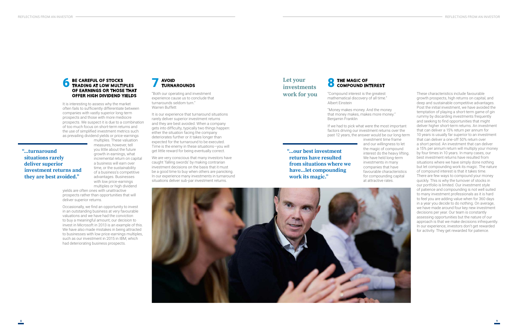**"...turnaround situations rarely deliver superior investment returns and they are best avoided."**

# **BE CAREFUL OF STOCKS TRADING AT LOW MULTIPLES OF EARNINGS OR THOSE THAT OFFER HIGH DIVIDEND YIELDS**

It is interesting to assess why the market often fails to sufficiently differentiate between companies with vastly superior long-term prospects and those with more mediocre prospects. We suspect it is due to a combination of too much focus on short-term returns and the use of simplified investment metrics such as prevailing dividend yields or price-earnings

multiples. These valuation measures, however, tell you little about the future growth in earnings, what incremental return on capital a business will earn over time, or the sustainability of a business's competitive advantages. Businesses with low price-earnings multiples or high dividend

yields are often ones with unattractive prospects rather than opportunities that will deliver superior returns.

Occasionally, we find an opportunity to invest in an outstanding business at very favourable valuations and we have had the conviction to buy a meaningful amount; our decision to invest in Microsoft in 2013 is an example of this. We have also made mistakes in being attracted to businesses with low price-earnings multiples, such as our investment in 2015 in IBM, which had deteriorating business prospects.



"Both our operating and investment experience cause us to conclude that turnarounds seldom turn." Warren Buffett

It is our experience that turnaround situations rarely deliver superior investment returns and they are best avoided. When a company gets into difficulty, typically two things happen: either the situation facing the company deteriorates further or it takes longer than expected for the turnaround to be executed. Time is the enemy in these situations—you will get little reward for being eventually correct.

We are very conscious that many investors have caught 'falling swords' by making contrarian investment decisions on the basis that it must be a good time to buy when others are panicking. In our experience many investments in turnaround situations deliver sub-par investment returns.

**9**

# **Let your investments work for you**

# **8** THE MAGIC OF **COMPOUND INTEREST**

**"...our best investment returns have resulted from situations where we have...let compounding work its magic."**

"Compound interest is the greatest mathematical discovery of all time." Albert Einstein

"Money makes money. And the money that money makes, makes more money." Benjamin Franklin

If we had to pick what were the most important factors driving our investment returns over the past 12 years, the answer would be our long-term

investment time frame and our willingness to let the magic of compound interest do the heavy lifting. We have held long-term investments in many companies that have favourable characteristics for compounding capital

at attractive rates.



These characteristics include favourable growth prospects, high returns on capital, and deep and sustainable competitive advantages. Post the initial investment, we have avoided the temptation of playing a short-term game of gin rummy by discarding investments frequently and seeking to find opportunities that might deliver higher short-term returns. An investment that can deliver a 15% return per annum for 10 years is usually far superior to an investment that can deliver a one-off 50% return over a short period. An investment that can deliver a 15% per annum return will multiply your money by four times in 10 years. In many cases, our best investment returns have resulted from situations where we have simply done nothing but let compounding work its magic. The nature of compound interest is that it takes time. There are few ways to compound your money quickly. This is why the turnover of stocks in our portfolio is limited. Our investment style of patience and compounding is not well suited to many investment professionals as it is hard to feel you are adding value when for 360 days in a year you decide to do nothing. On average, we have made around four key new investment decisions per year. Our team is constantly assessing opportunities but the nature of our approach is that we make decisions infrequently. In our experience, investors don't get rewarded for activity. They get rewarded for patience.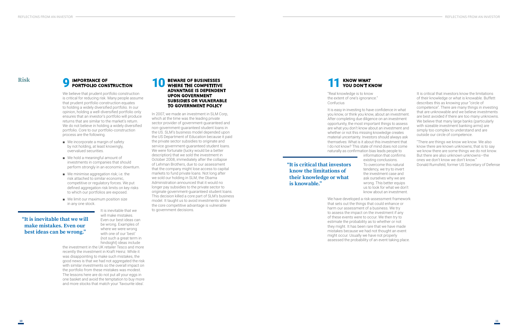# **"It is inevitable that we will make mistakes. Even our best ideas can be wrong."**

# **Risk IMPORTANCE OF**

We believe that prudent portfolio construction is critical for reducing risk. Many people assume that prudent portfolio construction equates to holding a widely diversified portfolio. In our opinion, holding a well-diversified portfolio only ensures that an investor's portfolio will produce returns that are similar to the market's return. We do not believe in holding a widely diversified portfolio. Core to our portfolio-construction process are the following.

- We incorporate a margin of safety by not holding, at least knowingly, overvalued securities.
- We hold a meaningful amount of investments in companies that should perform strongly in an economic downturn.
- We minimise aggregation risk; i.e. the risk attached to similar economic, competitive or regulatory forces. We put defined aggregation risk limits on key risks to which our portfolios are exposed.
- We limit our maximum position size in any one stock.

It is inevitable that we will make mistakes. Even our best ideas can be wrong. Examples of where we were wrong with one of our 'best' (not such a great term in hindsight) ideas include

# **PORTFOLIO CONSTRUCTION**<br> **PORTFOLIO CONSTRUCTION**<br> **PORTFOLIO CONSTRUCTION WHERE THE COMPETITIVE ADVANTAGE IS DEPENDENT UPON GOVERNMENT SUBSIDIES OR VULNERABLE TO GOVERNMENT POLICY** 10

the investment in the UK retailer Tesco and more recently the investment in Kraft Heinz. While it was disappointing to make such mistakes, the good news is that we had not aggregated the risk with similar investments so the overall impact on the portfolio from these mistakes was modest. The lessons here are do not put all your eggs in one basket and avoid the temptation to buy more and more stocks that match your 'favourite idea'.

It is easy in investing to have confidence in what you know, or think you know, about an investment. After completing due diligence on an investment opportunity, the most important things to assess are what you don't know about an investment and whether or not this missing knowledge creates material uncertainty. Investors should always ask themselves: What is it about this investment that I do not know? This state of mind does not come naturally as confirmation bias leads people to information that confirms existing conclusions. To overcome this natural tendency, we try to invert the investment case and ask ourselves why we are wrong. This better equips us to look for what we don't know about an investment.

In 2007, we made an investment in SLM Corp, which at the time was the leading private sector provider of government-guaranteed and non-government-guaranteed student loans in the US. SLM's business model depended upon the US Department of Education because it paid the private sector subsidies to originate and service government-guaranteed student loans. We were fortunate (lucky would be a better description) that we sold the investment in October 2008, immediately after the collapse of Lehman Brothers, due to our assessment that the company might lose access to capital markets to fund private loans. Not long after we sold our holding in SLM, the Obama Administration announced that it would no longer pay subsidies to the private sector to originate government-guaranteed student loans. This decision killed a core part of SLM's business model. It taught us to avoid investments where the core competitive advantage is vulnerable to government decisions.

**11**

**"It is critical that investors know the limitations of their knowledge or what is knowable."**

"Real knowledge is to know the extent of one's ignorance." Confucius

## **KNOW WHAT YOU DON'T KNOW** 11

We have developed a risk-assessment framework that sets out the things that could enhance or harm our assessment of a business. We try to assess the impact on the investment if any of these events were to occur. We then try to estimate the probability as to whether or not they might. It has been rare that we have made mistakes because we had not thought an event might occur. Usually we have not properly assessed the probability of an event taking place.

It is critical that investors know the limitations of their knowledge or what is knowable. Buffett describes this as knowing your "circle of competence". There are many things in investing that are unknowable and we believe investments are best avoided if there are too many unknowns. We believe that many large banks (particularly with sizeable investment banking arms) are simply too complex to understand and are outside our circle of competence.

"There are things we know we know. We also know there are known unknowns; that is to say we know there are some things we do not know. But there are also unknown unknowns—the ones we don't know we don't know." Donald Rumsfeld, former US Secretary of Defense